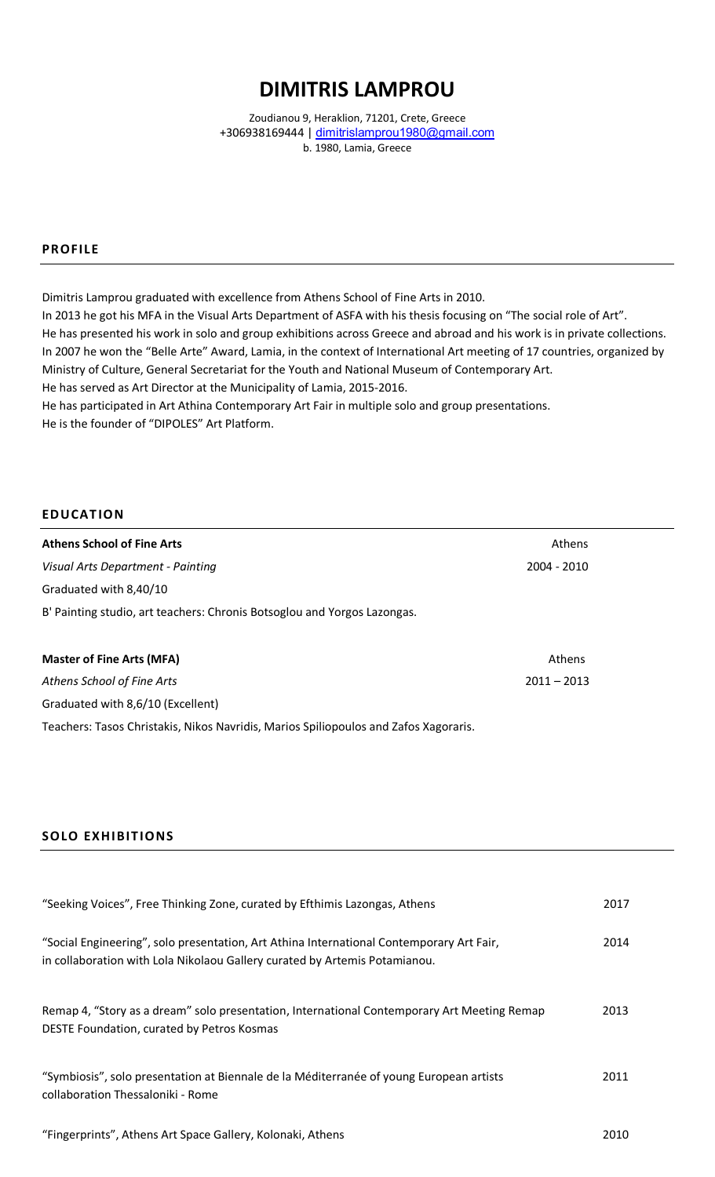# **DIMITRIS LAMPROU**

Zoudianou 9, Heraklion, 71201, Crete, Greece +306938169444 | dimitrislamprou1980@gmail.com b. 1980, Lamia, Greece

### **PROFIL E**

Dimitris Lamprou graduated with excellence from Athens School of Fine Arts in 2010.

In 2013 he got his MFA in the Visual Arts Department of ASFA with his thesis focusing on "The social role of Art". He has presented his work in solo and group exhibitions across Greece and abroad and his work is in private collections. In 2007 he won the "Belle Arte" Award, Lamia, in the context of International Art meeting of 17 countries, organized by Ministry of Culture, General Secretariat for the Youth and National Museum of Contemporary Art. He has served as Art Director at the Municipality of Lamia, 2015-2016. He has participated in Art Athina Contemporary Art Fair in multiple solo and group presentations. He is the founder of "DIPOLES" Art Platform.

#### **EDUCAT ION**

| <b>Athens School of Fine Arts</b>                                                    | Athens        |  |
|--------------------------------------------------------------------------------------|---------------|--|
|                                                                                      |               |  |
| Visual Arts Department - Painting                                                    | $2004 - 2010$ |  |
| Graduated with 8,40/10                                                               |               |  |
| B' Painting studio, art teachers: Chronis Botsoglou and Yorgos Lazongas.             |               |  |
| <b>Master of Fine Arts (MFA)</b>                                                     | Athens        |  |
|                                                                                      |               |  |
| Athens School of Fine Arts                                                           | $2011 - 2013$ |  |
| Graduated with 8,6/10 (Excellent)                                                    |               |  |
| Teachers: Tasos Christakis, Nikos Navridis, Marios Spiliopoulos and Zafos Xagoraris. |               |  |

### **SOLO EXHIBIT IONS**

| "Seeking Voices", Free Thinking Zone, curated by Efthimis Lazongas, Athens                                                                                             | 2017 |
|------------------------------------------------------------------------------------------------------------------------------------------------------------------------|------|
| "Social Engineering", solo presentation, Art Athina International Contemporary Art Fair,<br>in collaboration with Lola Nikolaou Gallery curated by Artemis Potamianou. | 2014 |
| Remap 4, "Story as a dream" solo presentation, International Contemporary Art Meeting Remap<br>DESTE Foundation, curated by Petros Kosmas                              | 2013 |
| "Symbiosis", solo presentation at Biennale de la Méditerranée of young European artists<br>collaboration Thessaloniki - Rome                                           | 2011 |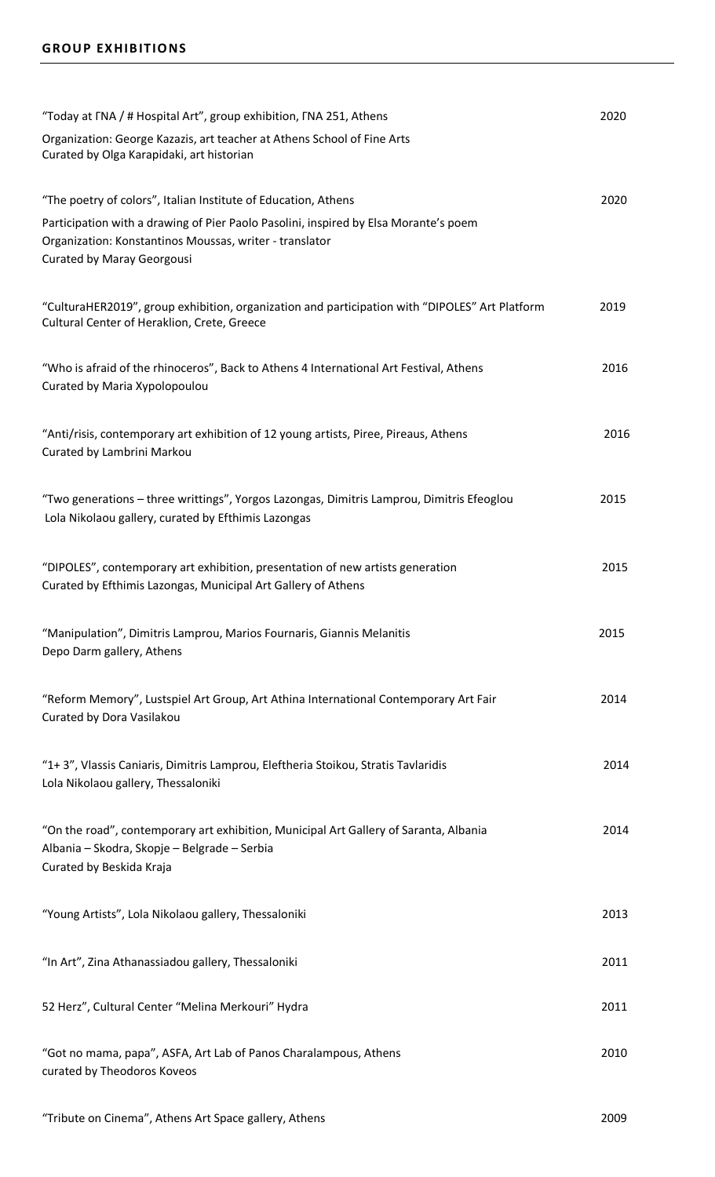| "Today at FNA / # Hospital Art", group exhibition, FNA 251, Athens<br>Organization: George Kazazis, art teacher at Athens School of Fine Arts                                                                                                          | 2020 |
|--------------------------------------------------------------------------------------------------------------------------------------------------------------------------------------------------------------------------------------------------------|------|
| Curated by Olga Karapidaki, art historian                                                                                                                                                                                                              |      |
| "The poetry of colors", Italian Institute of Education, Athens<br>Participation with a drawing of Pier Paolo Pasolini, inspired by Elsa Morante's poem<br>Organization: Konstantinos Moussas, writer - translator<br><b>Curated by Maray Georgousi</b> | 2020 |
| "CulturaHER2019", group exhibition, organization and participation with "DIPOLES" Art Platform<br>Cultural Center of Heraklion, Crete, Greece                                                                                                          | 2019 |
| "Who is afraid of the rhinoceros", Back to Athens 4 International Art Festival, Athens<br>Curated by Maria Xypolopoulou                                                                                                                                | 2016 |
| "Anti/risis, contemporary art exhibition of 12 young artists, Piree, Pireaus, Athens<br>Curated by Lambrini Markou                                                                                                                                     | 2016 |
| "Two generations - three writtings", Yorgos Lazongas, Dimitris Lamprou, Dimitris Efeoglou<br>Lola Nikolaou gallery, curated by Efthimis Lazongas                                                                                                       | 2015 |
| "DIPOLES", contemporary art exhibition, presentation of new artists generation<br>Curated by Efthimis Lazongas, Municipal Art Gallery of Athens                                                                                                        | 2015 |
| "Manipulation", Dimitris Lamprou, Marios Fournaris, Giannis Melanitis<br>Depo Darm gallery, Athens                                                                                                                                                     | 2015 |
| "Reform Memory", Lustspiel Art Group, Art Athina International Contemporary Art Fair<br>Curated by Dora Vasilakou                                                                                                                                      | 2014 |
| "1+3", Vlassis Caniaris, Dimitris Lamprou, Eleftheria Stoikou, Stratis Tavlaridis<br>Lola Nikolaou gallery, Thessaloniki                                                                                                                               | 2014 |
| "On the road", contemporary art exhibition, Municipal Art Gallery of Saranta, Albania<br>Albania - Skodra, Skopje - Belgrade - Serbia<br>Curated by Beskida Kraja                                                                                      | 2014 |
| "Young Artists", Lola Nikolaou gallery, Thessaloniki                                                                                                                                                                                                   | 2013 |
| "In Art", Zina Athanassiadou gallery, Thessaloniki                                                                                                                                                                                                     | 2011 |
| 52 Herz", Cultural Center "Melina Merkouri" Hydra                                                                                                                                                                                                      | 2011 |
| "Got no mama, papa", ASFA, Art Lab of Panos Charalampous, Athens<br>curated by Theodoros Koveos                                                                                                                                                        | 2010 |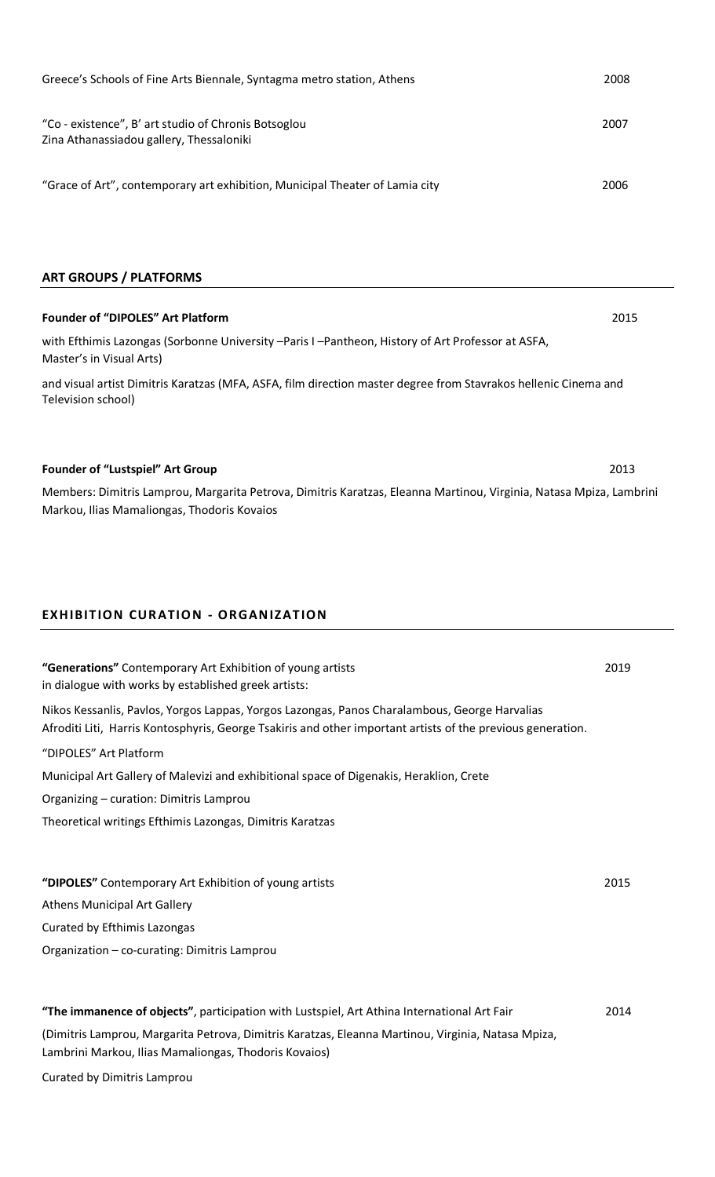| Greece's Schools of Fine Arts Biennale, Syntagma metro station, Athens                           | 2008 |
|--------------------------------------------------------------------------------------------------|------|
| "Co - existence", B' art studio of Chronis Botsoglou<br>Zina Athanassiadou gallery, Thessaloniki | 2007 |
| "Grace of Art", contemporary art exhibition, Municipal Theater of Lamia city                     | 2006 |

#### **ART GROUPS / PLATFORMS**

**Founder of "DIPOLES" Art Platform** 2015 with Efthimis Lazongas (Sorbonne University –Paris I –Pantheon, History of Art Professor at ASFA, Master's in Visual Arts)

and visual artist Dimitris Karatzas (MFA, ASFA, film direction master degree from Stavrakos hellenic Cinema and Television school)

#### **Founder of "Lustspiel" Art Group** 2013

Members: Dimitris Lamprou, Margarita Petrova, Dimitris Karatzas, Eleanna Martinou, Virginia, Natasa Mpiza, Lambrini Markou, Ilias Mamaliongas, Thodoris Kovaios

### **EXHIBITION CURATION - ORGANIZATION**

| "Generations" Contemporary Art Exhibition of young artists<br>in dialogue with works by established greek artists:                                                                                           | 2019 |
|--------------------------------------------------------------------------------------------------------------------------------------------------------------------------------------------------------------|------|
| Nikos Kessanlis, Pavlos, Yorgos Lappas, Yorgos Lazongas, Panos Charalambous, George Harvalias<br>Afroditi Liti, Harris Kontosphyris, George Tsakiris and other important artists of the previous generation. |      |
| "DIPOLES" Art Platform                                                                                                                                                                                       |      |
| Municipal Art Gallery of Malevizi and exhibitional space of Digenakis, Heraklion, Crete                                                                                                                      |      |
| Organizing - curation: Dimitris Lamprou                                                                                                                                                                      |      |
| Theoretical writings Efthimis Lazongas, Dimitris Karatzas                                                                                                                                                    |      |
|                                                                                                                                                                                                              |      |
| "DIPOLES" Contemporary Art Exhibition of young artists                                                                                                                                                       | 2015 |
| <b>Athens Municipal Art Gallery</b>                                                                                                                                                                          |      |
| Curated by Efthimis Lazongas                                                                                                                                                                                 |      |
| Organization - co-curating: Dimitris Lamprou                                                                                                                                                                 |      |
|                                                                                                                                                                                                              |      |
| "The immanence of objects", participation with Lustspiel, Art Athina International Art Fair                                                                                                                  | 2014 |
| (Dimitris Lamprou, Margarita Petrova, Dimitris Karatzas, Eleanna Martinou, Virginia, Natasa Mpiza,<br>Lambrini Markou, Ilias Mamaliongas, Thodoris Kovaios)                                                  |      |

Curated by Dimitris Lamprou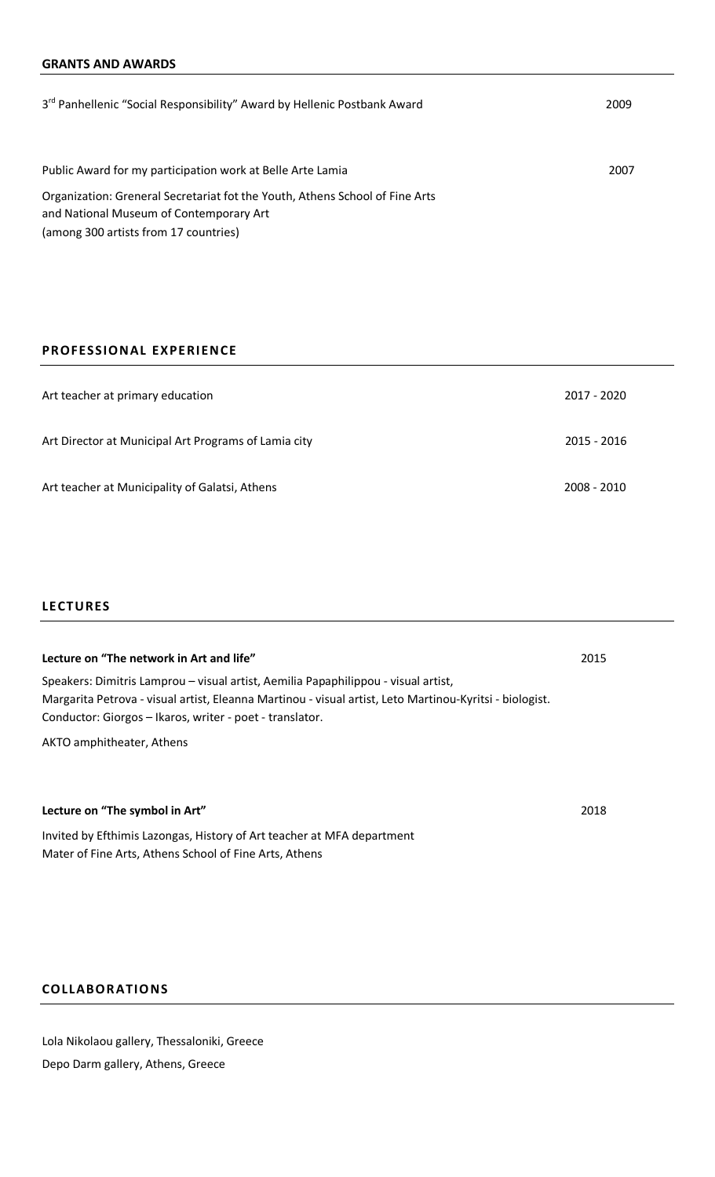### **GRANTS AND AWARDS**

| 3 <sup>rd</sup> Panhellenic "Social Responsibility" Award by Hellenic Postbank Award                                                                             | 2009 |
|------------------------------------------------------------------------------------------------------------------------------------------------------------------|------|
| Public Award for my participation work at Belle Arte Lamia                                                                                                       | 2007 |
| Organization: Greneral Secretariat fot the Youth, Athens School of Fine Arts<br>and National Museum of Contemporary Art<br>(among 300 artists from 17 countries) |      |

### **PROFESSION AL EXPERIEN CE**

| Art teacher at primary education                     | 2017 - 2020 |
|------------------------------------------------------|-------------|
| Art Director at Municipal Art Programs of Lamia city | 2015 - 2016 |
| Art teacher at Municipality of Galatsi, Athens       | 2008 - 2010 |

### **LECTURES**

| Lecture on "The network in Art and life"                                                                                                                                                                                                                  | 2015 |
|-----------------------------------------------------------------------------------------------------------------------------------------------------------------------------------------------------------------------------------------------------------|------|
| Speakers: Dimitris Lamprou – visual artist, Aemilia Papaphilippou - visual artist,<br>Margarita Petrova - visual artist, Eleanna Martinou - visual artist, Leto Martinou-Kyritsi - biologist.<br>Conductor: Giorgos - Ikaros, writer - poet - translator. |      |
| AKTO amphitheater, Athens                                                                                                                                                                                                                                 |      |
|                                                                                                                                                                                                                                                           |      |
| Lecture on "The symbol in Art"                                                                                                                                                                                                                            | 2018 |

Invited by Efthimis Lazongas, History of Art teacher at MFA department Mater of Fine Arts, Athens School of Fine Arts, Athens

### **COLL ABOR ATIO NS**

Lola Nikolaou gallery, Thessaloniki, Greece Depo Darm gallery, Athens, Greece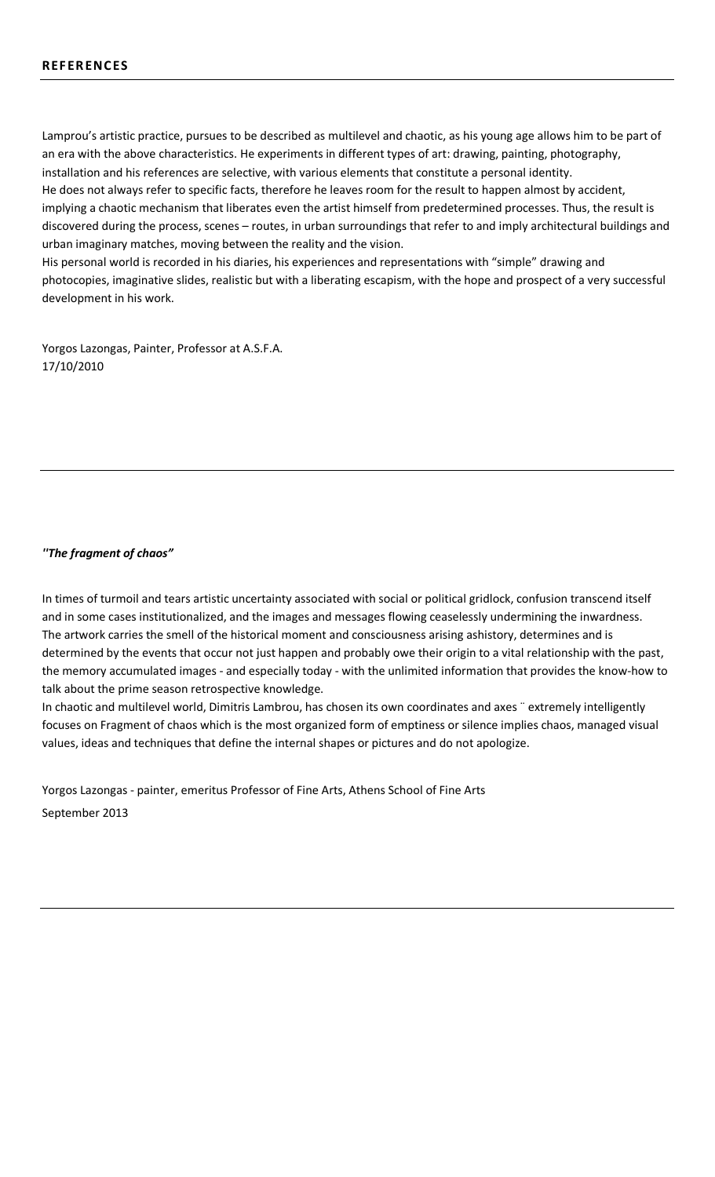Lamprou's artistic practice, pursues to be described as multilevel and chaotic, as his young age allows him to be part of an era with the above characteristics. He experiments in different types of art: drawing, painting, photography, installation and his references are selective, with various elements that constitute a personal identity. He does not always refer to specific facts, therefore he leaves room for the result to happen almost by accident, implying a chaotic mechanism that liberates even the artist himself from predetermined processes. Thus, the result is discovered during the process, scenes – routes, in urban surroundings that refer to and imply architectural buildings and urban imaginary matches, moving between the reality and the vision.

His personal world is recorded in his diaries, his experiences and representations with "simple" drawing and photocopies, imaginative slides, realistic but with a liberating escapism, with the hope and prospect of a very successful development in his work.

Yorgos Lazongas, Painter, Professor at A.S.F.A. 17/10/2010

#### *''The fragment of chaos"*

In times of turmoil and tears artistic uncertainty associated with social or political gridlock, confusion transcend itself and in some cases institutionalized, and the images and messages flowing ceaselessly undermining the inwardness. The artwork carries the smell of the historical moment and consciousness arising ashistory, determines and is determined by the events that occur not just happen and probably owe their origin to a vital relationship with the past, the memory accumulated images - and especially today - with the unlimited information that provides the know-how to talk about the prime season retrospective knowledge.

In chaotic and multilevel world, Dimitris Lambrou, has chosen its own coordinates and axes ¨ extremely intelligently focuses on Fragment of chaos which is the most organized form of emptiness or silence implies chaos, managed visual values, ideas and techniques that define the internal shapes or pictures and do not apologize.

Yorgos Lazongas - painter, emeritus Professor of Fine Arts, Athens School of Fine Arts September 2013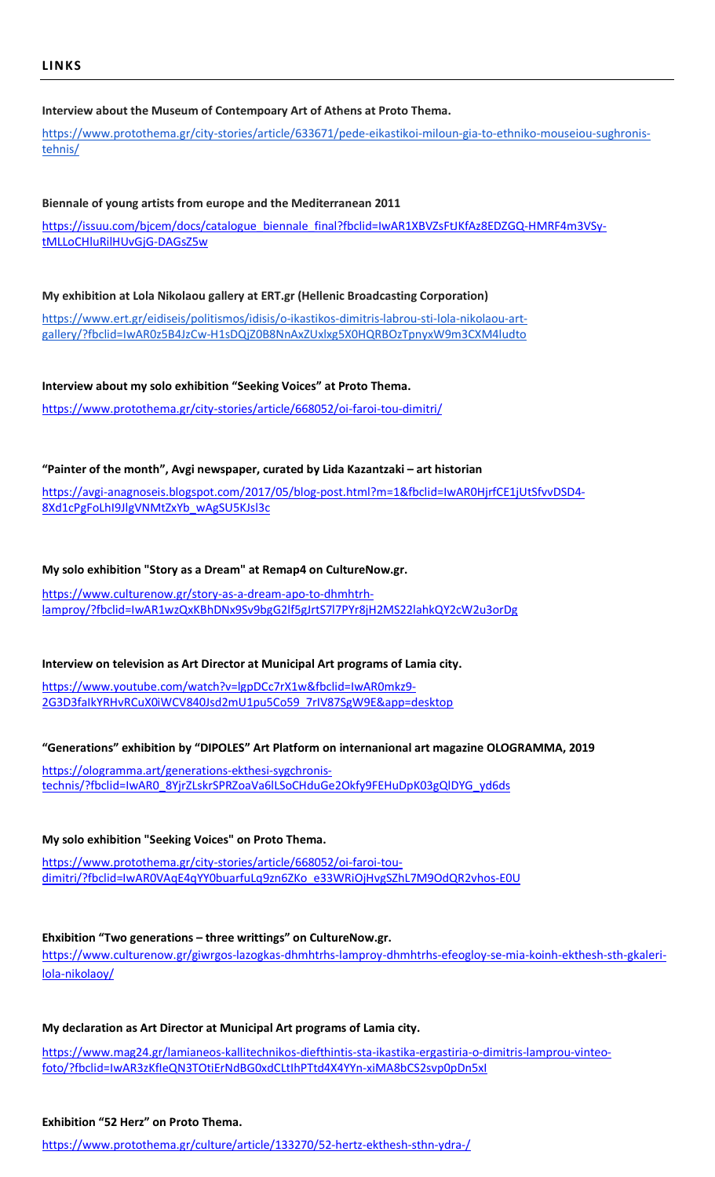#### **Interview about the Museum of Contempoary Art of Athens at Proto Thema.**

https://www.protothema.gr/city-stories/article/633671/pede-eikastikoi-miloun-gia-to-ethniko-mouseiou-sughronistehnis/

#### **Biennale of young artists from europe and the Mediterranean 2011**

https://issuu.com/bjcem/docs/catalogue\_biennale\_final?fbclid=IwAR1XBVZsFtJKfAz8EDZGQ-HMRF4m3VSytMLLoCHluRilHUvGjG-DAGsZ5w

#### **My exhibition at Lola Nikolaou gallery at ERT.gr (Hellenic Broadcasting Corporation)**

https://www.ert.gr/eidiseis/politismos/idisis/o-ikastikos-dimitris-labrou-sti-lola-nikolaou-artgallery/?fbclid=IwAR0z5B4JzCw-H1sDQjZ0B8NnAxZUxlxg5X0HQRBOzTpnyxW9m3CXM4ludto

**Interview about my solo exhibition "Seeking Voices" at Proto Thema.** https://www.protothema.gr/city-stories/article/668052/oi-faroi-tou-dimitri/

**"Painter of the month", Avgi newspaper, curated by Lida Kazantzaki – art historian**

https://avgi-anagnoseis.blogspot.com/2017/05/blog-post.html?m=1&fbclid=IwAR0HjrfCE1jUtSfvvDSD4- 8Xd1cPgFoLhI9JlgVNMtZxYb\_wAgSU5KJsl3c

#### **My solo exhibition "Story as a Dream" at Remap4 on CultureNow.gr.**

https://www.culturenow.gr/story-as-a-dream-apo-to-dhmhtrhlamproy/?fbclid=IwAR1wzQxKBhDNx9Sv9bgG2lf5gJrtS7l7PYr8jH2MS22lahkQY2cW2u3orDg

#### **Interview on television as Art Director at Municipal Art programs of Lamia city.**

https://www.youtube.com/watch?v=lgpDCc7rX1w&fbclid=IwAR0mkz9- 2G3D3faIkYRHvRCuX0iWCV840Jsd2mU1pu5Co59\_7rIV87SgW9E&app=desktop

#### **"Generations" exhibition by "DIPOLES" Art Platform on internanional art magazine OLOGRAMMA, 2019**

https://ologramma.art/generations-ekthesi-sygchronistechnis/?fbclid=IwAR0\_8YjrZLskrSPRZoaVa6lLSoCHduGe2Okfy9FEHuDpK03gQlDYG\_yd6ds

#### **My solo exhibition "Seeking Voices" on Proto Thema.**

https://www.protothema.gr/city-stories/article/668052/oi-faroi-toudimitri/?fbclid=IwAR0VAqE4qYY0buarfuLq9zn6ZKo\_e33WRiOjHvgSZhL7M9OdQR2vhos-E0U

#### **Ehxibition "Two generations – three writtings" on CultureNow.gr.**

https://www.culturenow.gr/giwrgos-lazogkas-dhmhtrhs-lamproy-dhmhtrhs-efeogloy-se-mia-koinh-ekthesh-sth-gkalerilola-nikolaoy/

#### **My declaration as Art Director at Municipal Art programs of Lamia city.**

https://www.mag24.gr/lamianeos-kallitechnikos-diefthintis-sta-ikastika-ergastiria-o-dimitris-lamprou-vinteofoto/?fbclid=IwAR3zKfIeQN3TOtiErNdBG0xdCLtIhPTtd4X4YYn-xiMA8bCS2svp0pDn5xI

### **Exhibition "52 Herz" on Proto Thema.**

https://www.protothema.gr/culture/article/133270/52-hertz-ekthesh-sthn-ydra-/